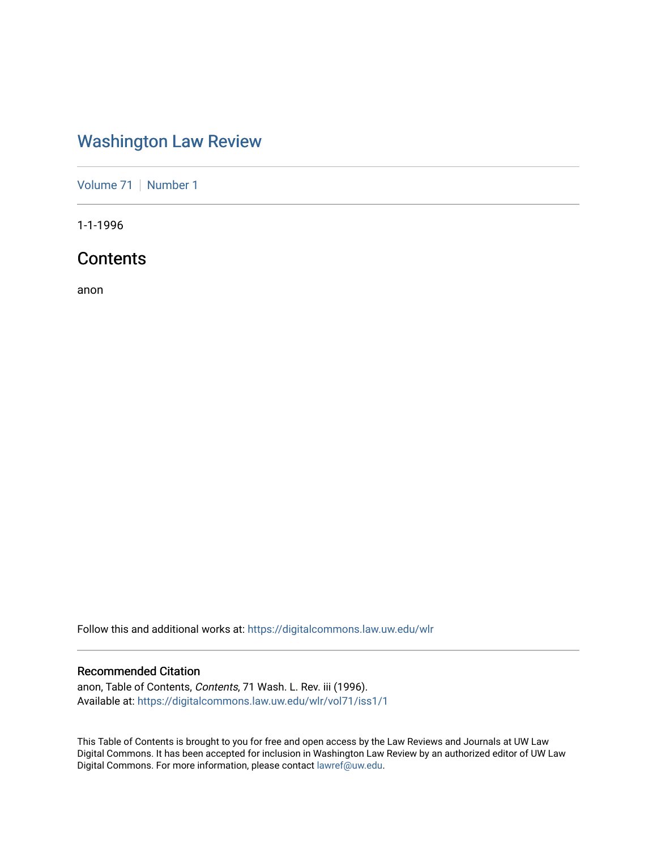## [Washington Law Review](https://digitalcommons.law.uw.edu/wlr)

[Volume 71](https://digitalcommons.law.uw.edu/wlr/vol71) | [Number 1](https://digitalcommons.law.uw.edu/wlr/vol71/iss1)

1-1-1996

### **Contents**

anon

Follow this and additional works at: [https://digitalcommons.law.uw.edu/wlr](https://digitalcommons.law.uw.edu/wlr?utm_source=digitalcommons.law.uw.edu%2Fwlr%2Fvol71%2Fiss1%2F1&utm_medium=PDF&utm_campaign=PDFCoverPages)

#### Recommended Citation

anon, Table of Contents, Contents, 71 Wash. L. Rev. iii (1996). Available at: [https://digitalcommons.law.uw.edu/wlr/vol71/iss1/1](https://digitalcommons.law.uw.edu/wlr/vol71/iss1/1?utm_source=digitalcommons.law.uw.edu%2Fwlr%2Fvol71%2Fiss1%2F1&utm_medium=PDF&utm_campaign=PDFCoverPages)

This Table of Contents is brought to you for free and open access by the Law Reviews and Journals at UW Law Digital Commons. It has been accepted for inclusion in Washington Law Review by an authorized editor of UW Law Digital Commons. For more information, please contact [lawref@uw.edu.](mailto:lawref@uw.edu)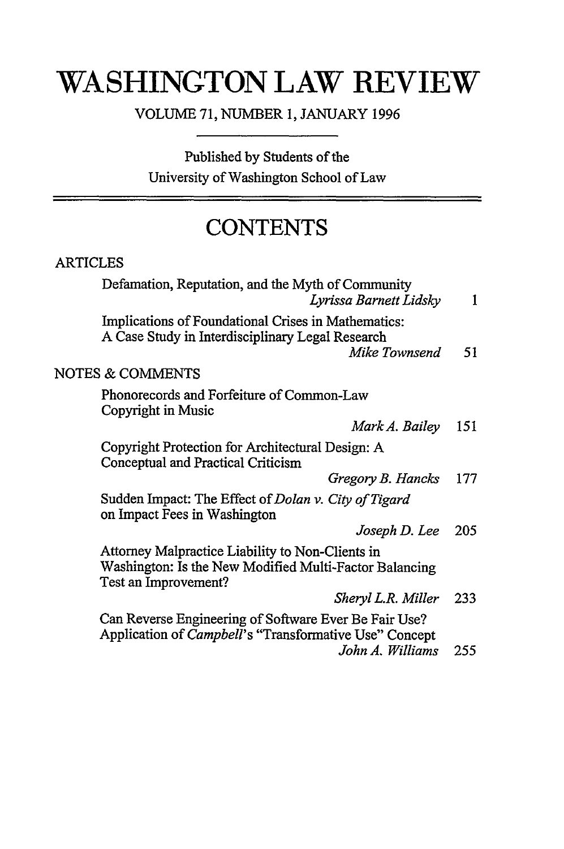# **WASHINGTON LAW REVIEW**

VOLUME 71, NUMBER 1, JANUARY 1996

Published by Students of the University of Washington School of Law

## **CONTENTS**

### ARTICLES

| Defamation, Reputation, and the Myth of Community<br>Lyrissa Barnett Lidsky                                                        | 1   |
|------------------------------------------------------------------------------------------------------------------------------------|-----|
| Implications of Foundational Crises in Mathematics:<br>A Case Study in Interdisciplinary Legal Research<br>Mike Townsend           | 51  |
| <b>NOTES &amp; COMMENTS</b>                                                                                                        |     |
| Phonorecords and Forfeiture of Common-Law<br>Copyright in Music                                                                    |     |
| Mark A. Bailey                                                                                                                     | 151 |
| Copyright Protection for Architectural Design: A<br>Conceptual and Practical Criticism                                             |     |
| Gregory B. Hancks                                                                                                                  | 177 |
| Sudden Impact: The Effect of <i>Dolan v. City of Tigard</i><br>on Impact Fees in Washington                                        |     |
| Joseph D. Lee                                                                                                                      | 205 |
| Attorney Malpractice Liability to Non-Clients in<br>Washington: Is the New Modified Multi-Factor Balancing<br>Test an Improvement? |     |
| Sheryl L.R. Miller                                                                                                                 | 233 |
| Can Reverse Engineering of Software Ever Be Fair Use?<br>Application of Campbell's "Transformative Use" Concept                    |     |
| John A. Williams                                                                                                                   | 255 |